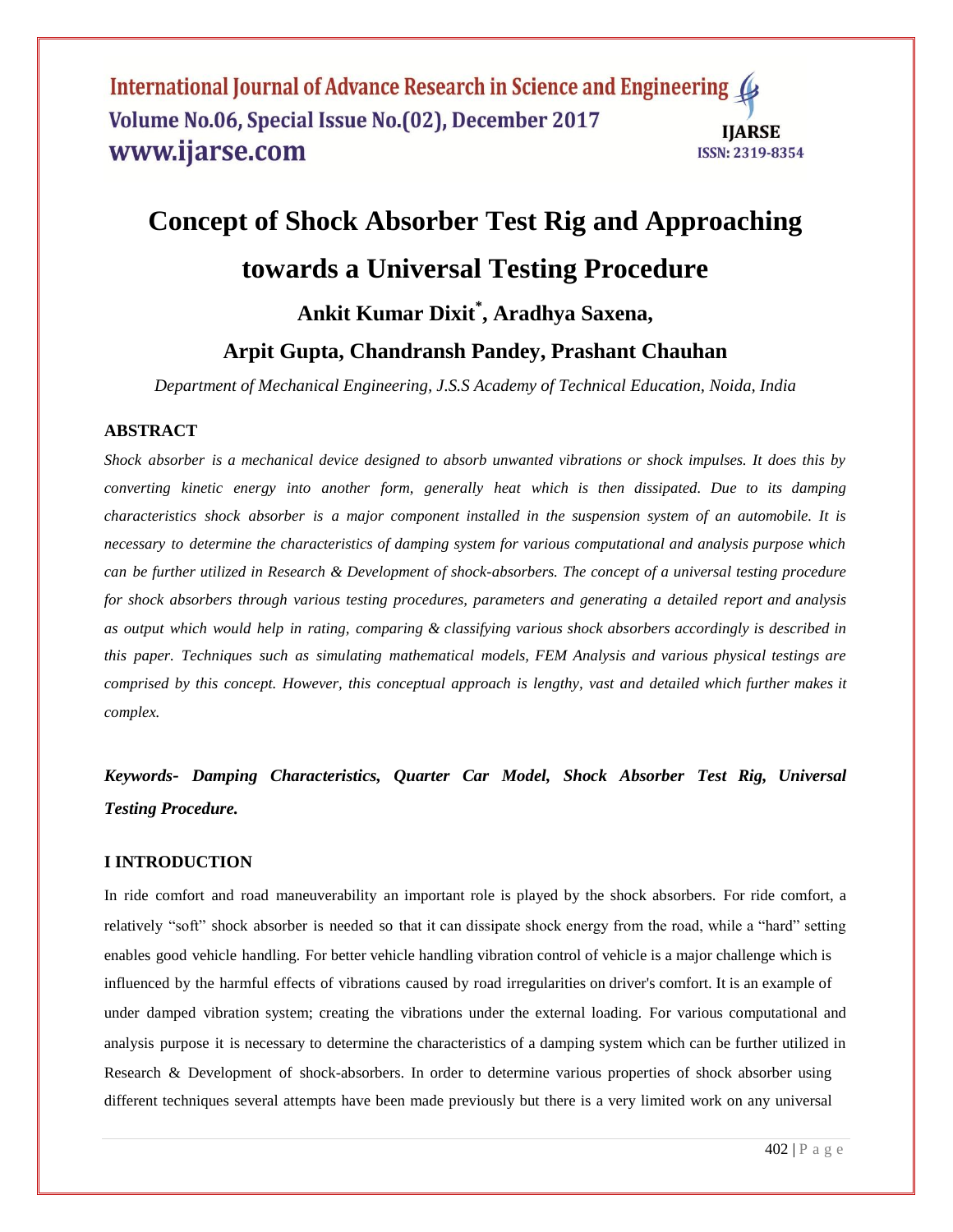# **Concept of Shock Absorber Test Rig and Approaching towards a Universal Testing Procedure Ankit Kumar Dixit\* , Aradhya Saxena,**

# **Arpit Gupta, Chandransh Pandey, Prashant Chauhan**

*Department of Mechanical Engineering, J.S.S Academy of Technical Education, Noida, India*

#### **ABSTRACT**

*Shock absorber is a mechanical device designed to absorb unwanted vibrations or shock impulses. It does this by converting kinetic energy into another form, generally heat which is then dissipated. Due to its damping characteristics shock absorber is a major component installed in the suspension system of an automobile. It is necessary to determine the characteristics of damping system for various computational and analysis purpose which can be further utilized in Research & Development of shock-absorbers. The concept of a universal testing procedure for shock absorbers through various testing procedures, parameters and generating a detailed report and analysis as output which would help in rating, comparing & classifying various shock absorbers accordingly is described in this paper. Techniques such as simulating mathematical models, FEM Analysis and various physical testings are comprised by this concept. However, this conceptual approach is lengthy, vast and detailed which further makes it complex.*

*Keywords- Damping Characteristics, Quarter Car Model, Shock Absorber Test Rig, Universal Testing Procedure.*

#### **I INTRODUCTION**

In ride comfort and road maneuverability an important role is played by the shock absorbers. For ride comfort, a relatively "soft" shock absorber is needed so that it can dissipate shock energy from the road, while a "hard" setting enables good vehicle handling. For better vehicle handling vibration control of vehicle is a major challenge which is influenced by the harmful effects of vibrations caused by road irregularities on driver's comfort. It is an example of under damped vibration system; creating the vibrations under the external loading. For various computational and analysis purpose it is necessary to determine the characteristics of a damping system which can be further utilized in Research & Development of shock-absorbers. In order to determine various properties of shock absorber using different techniques several attempts have been made previously but there is a very limited work on any universal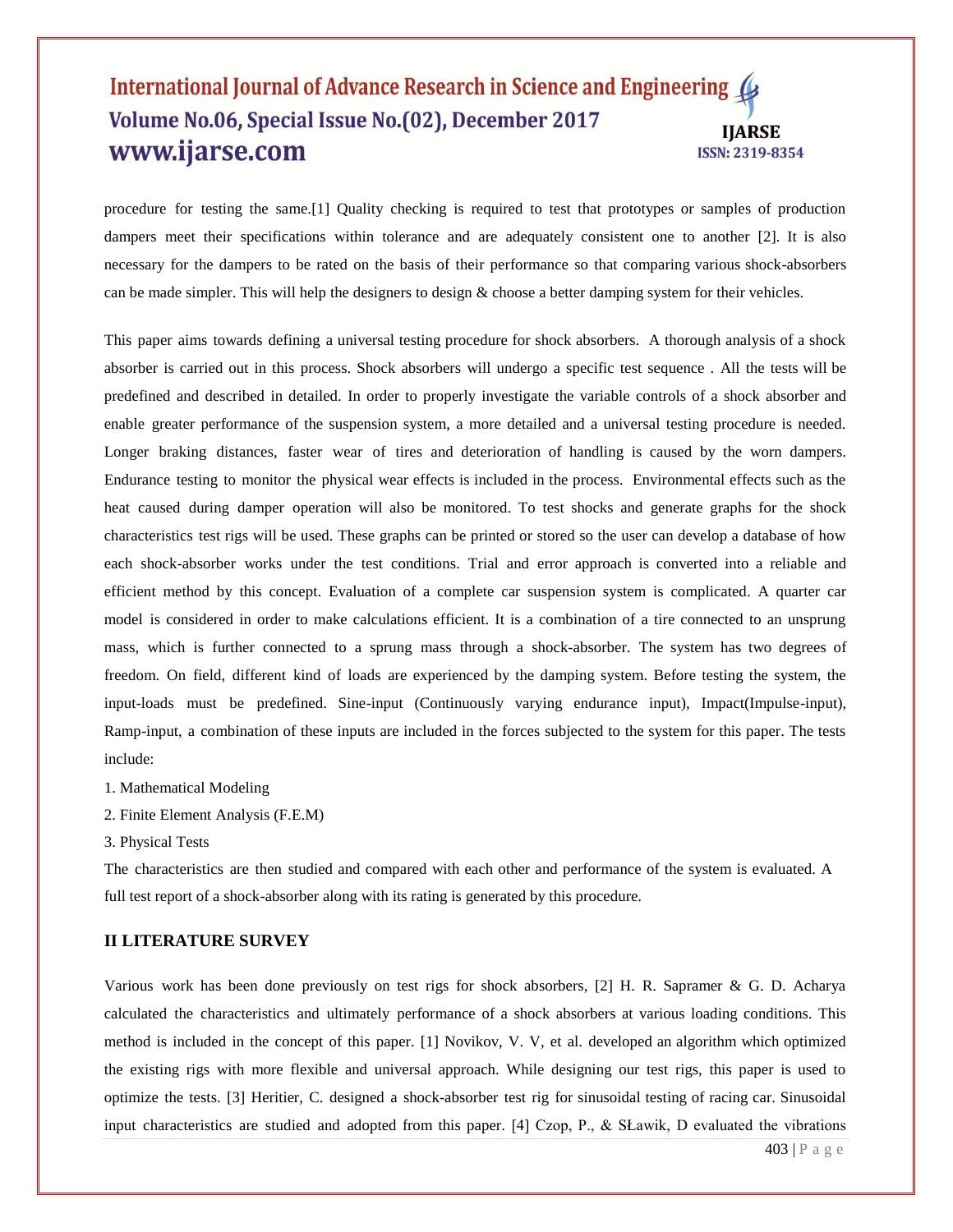procedure for testing the same.[1] Quality checking is required to test that prototypes or samples of production dampers meet their specifications within tolerance and are adequately consistent one to another [2]. It is also necessary for the dampers to be rated on the basis of their performance so that comparing various shock-absorbers can be made simpler. This will help the designers to design  $\&$  choose a better damping system for their vehicles.

This paper aims towards defining a universal testing procedure for shock absorbers. A thorough analysis of a shock absorber is carried out in this process. Shock absorbers will undergo a specific test sequence . All the tests will be predefined and described in detailed. In order to properly investigate the variable controls of a shock absorber and enable greater performance of the suspension system, a more detailed and a universal testing procedure is needed. Longer braking distances, faster wear of tires and deterioration of handling is caused by the worn dampers. Endurance testing to monitor the physical wear effects is included in the process. Environmental effects such as the heat caused during damper operation will also be monitored. To test shocks and generate graphs for the shock characteristics test rigs will be used. These graphs can be printed or stored so the user can develop a database of how each shock-absorber works under the test conditions. Trial and error approach is converted into a reliable and efficient method by this concept. Evaluation of a complete car suspension system is complicated. A quarter car model is considered in order to make calculations efficient. It is a combination of a tire connected to an unsprung mass, which is further connected to a sprung mass through a shock-absorber. The system has two degrees of freedom. On field, different kind of loads are experienced by the damping system. Before testing the system, the input-loads must be predefined. Sine-input (Continuously varying endurance input), Impact(Impulse-input), Ramp-input, a combination of these inputs are included in the forces subjected to the system for this paper. The tests include:

- 1. Mathematical Modeling
- 2. Finite Element Analysis (F.E.M)
- 3. Physical Tests

The characteristics are then studied and compared with each other and performance of the system is evaluated. A full test report of a shock-absorber along with its rating is generated by this procedure.

## **II LITERATURE SURVEY**

Various work has been done previously on test rigs for shock absorbers, [2] H. R. Sapramer & G. D. Acharya calculated the characteristics and ultimately performance of a shock absorbers at various loading conditions. This method is included in the concept of this paper. [1] Novikov, V. V, et al. developed an algorithm which optimized the existing rigs with more flexible and universal approach. While designing our test rigs, this paper is used to optimize the tests. [3] Heritier, C. designed a shock-absorber test rig for sinusoidal testing of racing car. Sinusoidal input characteristics are studied and adopted from this paper.  $[4]$  Czop, P., & SŁawik, D evaluated the vibrations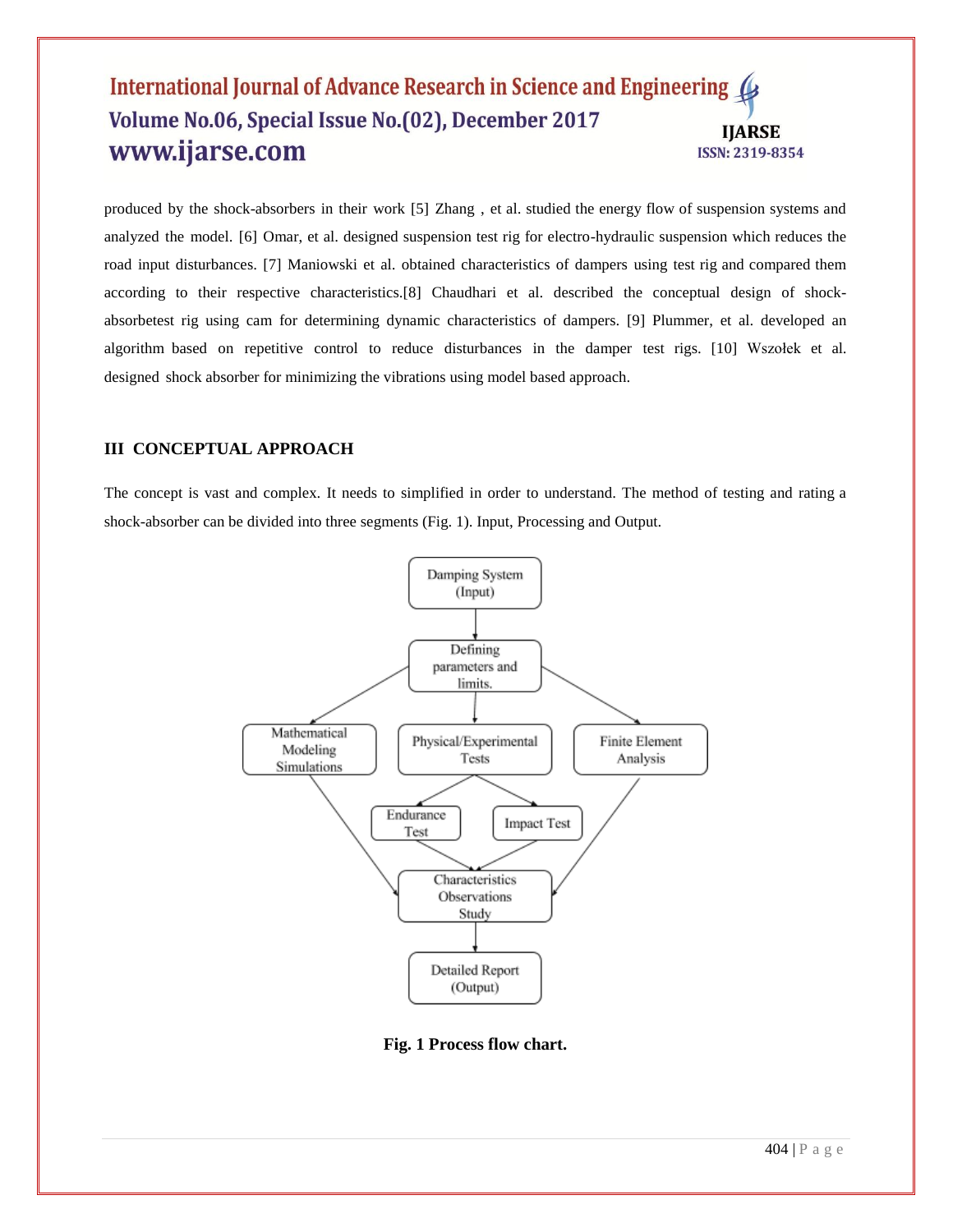produced by the shock-absorbers in their work [5] Zhang , et al. studied the energy flow of suspension systems and analyzed the model. [6] Omar, et al. designed suspension test rig for electro-hydraulic suspension which reduces the road input disturbances. [7] Maniowski et al. obtained characteristics of dampers using test rig and compared them according to their respective characteristics.[8] Chaudhari et al. described the conceptual design of shockabsorbetest rig using cam for determining dynamic characteristics of dampers. [9] Plummer, et al. developed an algorithm based on repetitive control to reduce disturbances in the damper test rigs. [10] Wszołek et al. designed shock absorber for minimizing the vibrations using model based approach.

# **III CONCEPTUAL APPROACH**

The concept is vast and complex. It needs to simplified in order to understand. The method of testing and rating a shock-absorber can be divided into three segments (Fig. 1). Input, Processing and Output.



**Fig. 1 Process flow chart.**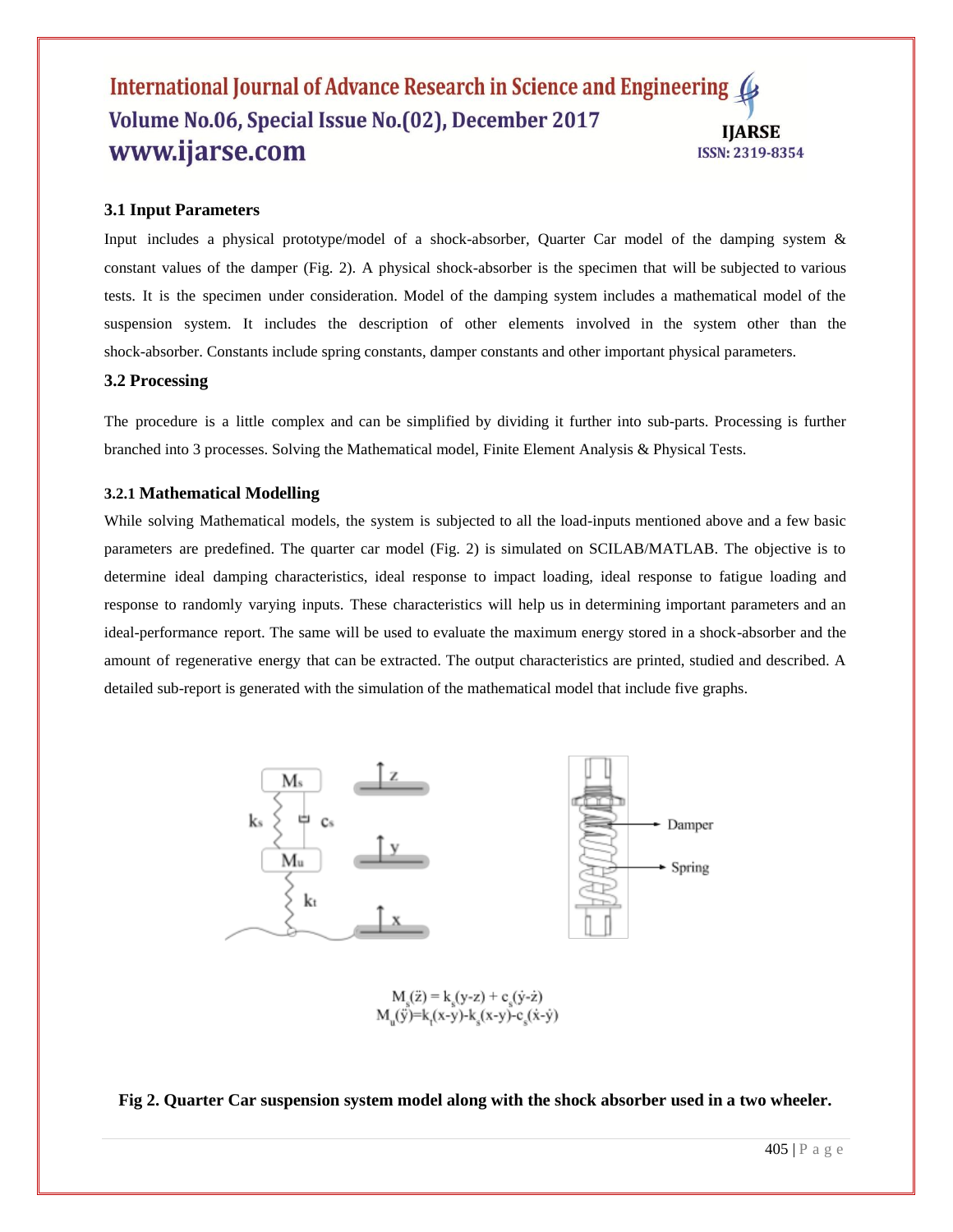# **3.1 Input Parameters**

Input includes a physical prototype/model of a shock-absorber, Quarter Car model of the damping system & constant values of the damper (Fig. 2). A physical shock-absorber is the specimen that will be subjected to various tests. It is the specimen under consideration. Model of the damping system includes a mathematical model of the suspension system. It includes the description of other elements involved in the system other than the shock-absorber. Constants include spring constants, damper constants and other important physical parameters.

#### **3.2 Processing**

The procedure is a little complex and can be simplified by dividing it further into sub-parts. Processing is further branched into 3 processes. Solving the Mathematical model, Finite Element Analysis & Physical Tests.

#### **3.2.1 Mathematical Modelling**

While solving Mathematical models, the system is subjected to all the load-inputs mentioned above and a few basic parameters are predefined. The quarter car model (Fig. 2) is simulated on SCILAB/MATLAB. The objective is to determine ideal damping characteristics, ideal response to impact loading, ideal response to fatigue loading and response to randomly varying inputs. These characteristics will help us in determining important parameters and an ideal-performance report. The same will be used to evaluate the maximum energy stored in a shock-absorber and the amount of regenerative energy that can be extracted. The output characteristics are printed, studied and described. A detailed sub-report is generated with the simulation of the mathematical model that include five graphs.



 $M_s(\ddot{z}) = k_s(y-z) + c_s(\dot{y}-\dot{z})$ <br>  $M_u(\ddot{y}) = k_s(x-y) - k_s(x-y) - c_s(\dot{x}-\dot{y})$ 

#### **Fig 2. Quarter Car suspension system model along with the shock absorber used in a two wheeler.**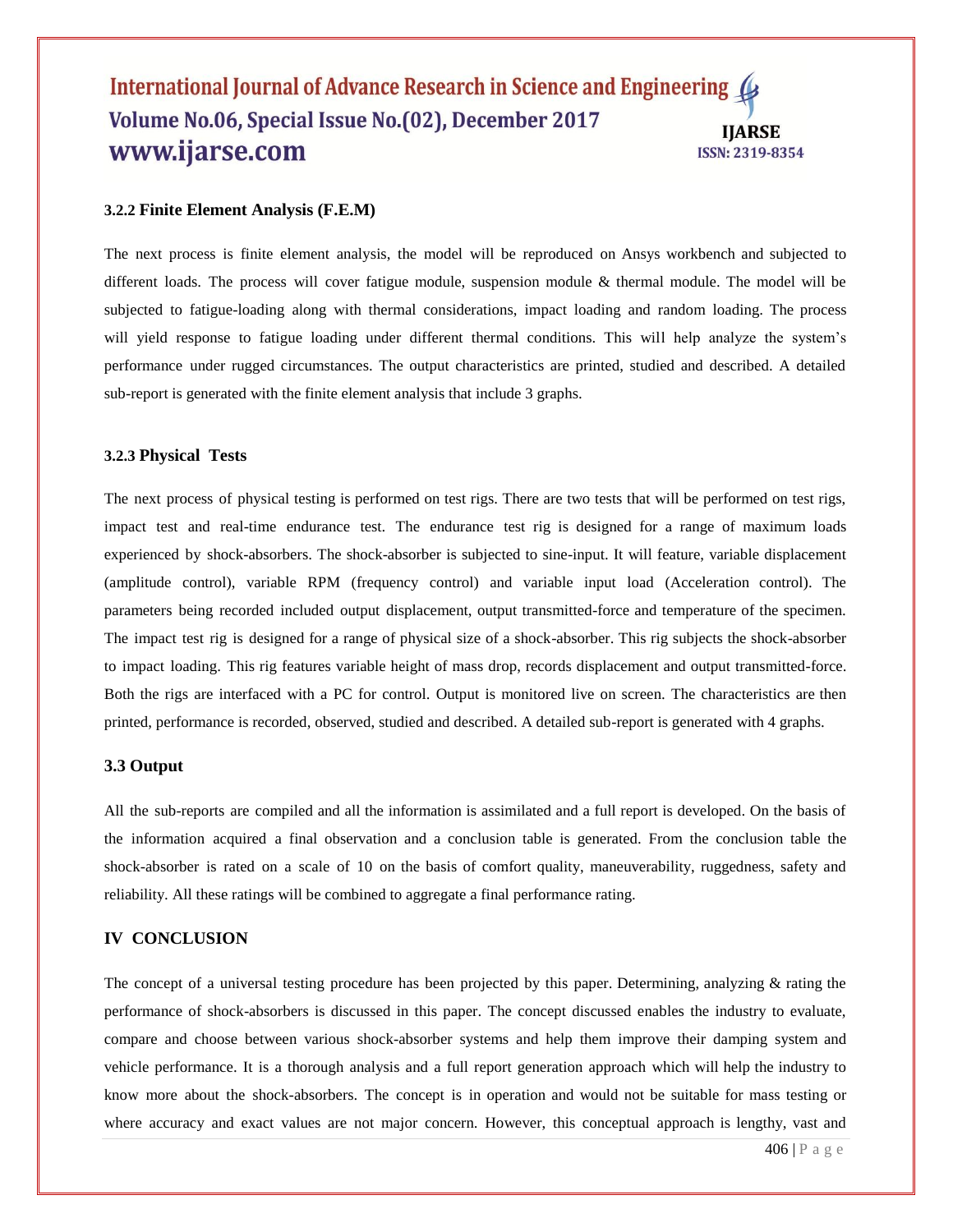#### **3.2.2 Finite Element Analysis (F.E.M)**

The next process is finite element analysis, the model will be reproduced on Ansys workbench and subjected to different loads. The process will cover fatigue module, suspension module & thermal module. The model will be subjected to fatigue-loading along with thermal considerations, impact loading and random loading. The process will yield response to fatigue loading under different thermal conditions. This will help analyze the system's performance under rugged circumstances. The output characteristics are printed, studied and described. A detailed sub-report is generated with the finite element analysis that include 3 graphs.

#### **3.2.3 Physical Tests**

The next process of physical testing is performed on test rigs. There are two tests that will be performed on test rigs, impact test and real-time endurance test. The endurance test rig is designed for a range of maximum loads experienced by shock-absorbers. The shock-absorber is subjected to sine-input. It will feature, variable displacement (amplitude control), variable RPM (frequency control) and variable input load (Acceleration control). The parameters being recorded included output displacement, output transmitted-force and temperature of the specimen. The impact test rig is designed for a range of physical size of a shock-absorber. This rig subjects the shock-absorber to impact loading. This rig features variable height of mass drop, records displacement and output transmitted-force. Both the rigs are interfaced with a PC for control. Output is monitored live on screen. The characteristics are then printed, performance is recorded, observed, studied and described. A detailed sub-report is generated with 4 graphs.

#### **3.3 Output**

All the sub-reports are compiled and all the information is assimilated and a full report is developed. On the basis of the information acquired a final observation and a conclusion table is generated. From the conclusion table the shock-absorber is rated on a scale of 10 on the basis of comfort quality, maneuverability, ruggedness, safety and reliability. All these ratings will be combined to aggregate a final performance rating.

#### **IV CONCLUSION**

The concept of a universal testing procedure has been projected by this paper. Determining, analyzing  $\&$  rating the performance of shock-absorbers is discussed in this paper. The concept discussed enables the industry to evaluate, compare and choose between various shock-absorber systems and help them improve their damping system and vehicle performance. It is a thorough analysis and a full report generation approach which will help the industry to know more about the shock-absorbers. The concept is in operation and would not be suitable for mass testing or where accuracy and exact values are not major concern. However, this conceptual approach is lengthy, vast and